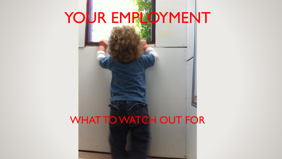# YOUR EMPLOYMENT

# WHAT TO WATCH OUT FOR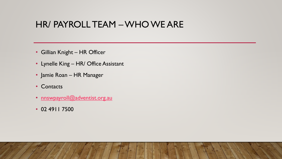#### HR/ PAYROLL TEAM –WHO WE ARE

- Gillian Knight HR Officer
- Lynelle King HR/ Office Assistant
- Jamie Roan HR Manager
- Contacts
- [nnswpayroll@adventist.org.au](mailto:nnswpayroll@adventist.org.au)
- 02 4911 7500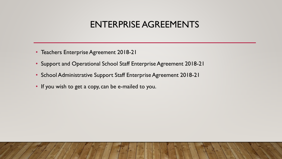#### ENTERPRISE AGREEMENTS

- Teachers Enterprise Agreement 2018-21
- Support and Operational School Staff Enterprise Agreement 2018-21
- School Administrative Support Staff Enterprise Agreement 2018-21
- If you wish to get a copy, can be e-mailed to you.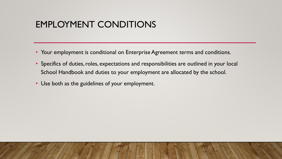#### EMPLOYMENT CONDITIONS

- Your employment is conditional on Enterprise Agreement terms and conditions.
- Specifics of duties, roles, expectations and responsibilities are outlined in your local School Handbook and duties to your employment are allocated by the school.
- Use both as the guidelines of your employment.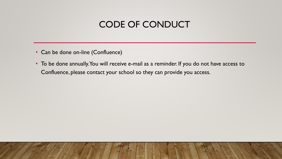# CODE OF CONDUCT

- Can be done on-line (Confluence)
- To be done annually. You will receive e-mail as a reminder. If you do not have access to Confluence, please contact your school so they can provide you access.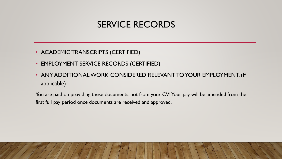#### SERVICE RECORDS

- ACADEMIC TRANSCRIPTS (CERTIFIED)
- EMPLOYMENT SERVICE RECORDS (CERTIFIED)
- ANY ADDITIONAL WORK CONSIDERED RELEVANT TO YOUR EMPLOYMENT. (If applicable)

You are paid on providing these documents, not from your CV! Your pay will be amended from the first full pay period once documents are received and approved.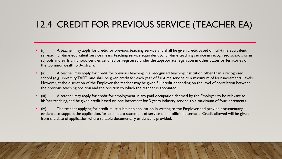# 12.4 CREDIT FOR PREVIOUS SERVICE (TEACHER EA)

- (i) A teacher may apply for credit for previous teaching service and shall be given credit based on full-time equivalent service. Full-time equivalent service means teaching service equivalent to full-time teaching service in recognised schools or in schools and early childhood centres certified or registered under the appropriate legislation in other States or Territories of the Commonwealth of Australia.
- (ii) A teacher may apply for credit for previous teaching in a recognised teaching institution other than a recognised school (e.g. university, TAFE), and shall be given credit for each year of full-time service to a maximum of four incremental levels. However, at the discretion of the Employer, the teacher may be given full credit depending on the level of correlation between the previous teaching position and the position to which the teacher is appointed.
- (iii) A teacher may apply for credit for employment in any paid occupation deemed by the Employer to be relevant to his/her teaching, and be given credit based on one increment for 3 years industry service, to a maximum of four increments.
- (iv) The teacher applying for credit must submit an application in writing to the Employer and provide documentary evidence to support the application, for example, a statement of service on an official letterhead. Credit allowed will be given from the date of application where suitable documentary evidence is provided.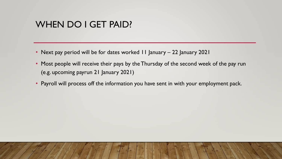#### WHEN DO I GET PAID?

- Next pay period will be for dates worked 11 January 22 January 2021
- Most people will receive their pays by the Thursday of the second week of the pay run (e.g. upcoming payrun 21 January 2021)
- Payroll will process off the information you have sent in with your employment pack.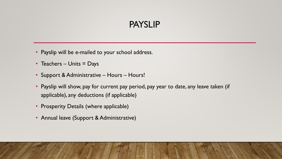#### PAYSLIP

- Payslip will be e-mailed to your school address.
- Teachers Units = Days
- Support & Administrative Hours Hours!
- Payslip will show, pay for current pay period, pay year to date, any leave taken (if applicable), any deductions (if applicable)
- Prosperity Details (where applicable)
- Annual leave (Support & Administrative)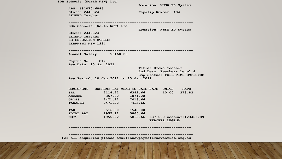**SDA Schools (North NSW) Ltd Location: NNSW ED System ABN: 68107046846 Staff: 2448824 Payslip Number: 484 LEGEND Teacher --------------------------------------------------------- SDA Schools (North NSW) Ltd Location: NNSW ED System Staff: 2448824 LEGEND Teacher 33 EDUCATION STREET LEARNING NSW 1234 --------------------------------------------------------- Annual Salary: 55160.00 Payrun No: 817 Pay Date: 20 Jan 2021 Title: Drama Teacher Awd Desc: Teachers Level 4 Emp Status: FULL-TIME EMPLOYEE Pay Period: 10 Jan 2021 to 23 Jan 2021 COMPONENT CURRENT PAY YEAR TO DATE DATE UNITS RATE SAL 2114.22 6342.66 10.00 273.82** Accomm 357.00 1071.00  **GROSS 2471.22 7413.66 TAXABLE 2471.22 7413.66**

 **TAX 516.00 1548.00 TOTAL PAY 1955.22 5865.66 NETT 1955.22 5865.66 637-000 Account:123456789 TEACHER LEGEND**

 **--------------------------------------------------------**

 **--------------------------------------------------------- For all enquiries please email:nnswpayroll@adventist.org.au**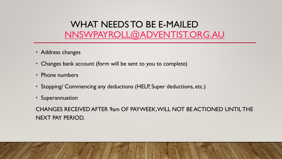# WHAT NEEDS TO BE E-MAILED [NNSWPAYROLL@ADVENTIST.ORG.AU](mailto:nnswpayroll@adventist.org.au)

- Address changes
- Changes bank account (form will be sent to you to complete)
- Phone numbers
- Stopping/ Commencing any deductions (HELP, Super deductions, etc.)
- Superannuation

CHANGES RECEIVED AFTER 9am OF PAYWEEK, WILL NOT BE ACTIONED UNTIL THE NEXT PAY PERIOD.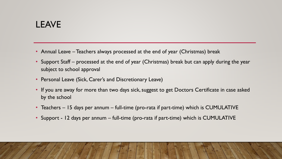# LEAVE

- Annual Leave Teachers always processed at the end of year (Christmas) break
- Support Staff processed at the end of year (Christmas) break but can apply during the year subject to school approval
- Personal Leave (Sick, Carer's and Discretionary Leave)
- If you are away for more than two days sick, suggest to get Doctors Certificate in case asked by the school
- Teachers 15 days per annum full-time (pro-rata if part-time) which is CUMULATIVE
- Support 12 days per annum full-time (pro-rata if part-time) which is CUMULATIVE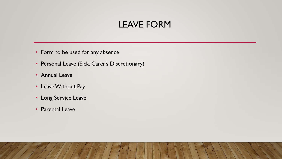#### LEAVE FORM

- Form to be used for any absence
- Personal Leave (Sick, Carer's Discretionary)
- Annual Leave
- Leave Without Pay
- Long Service Leave
- Parental Leave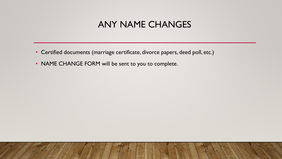#### ANY NAME CHANGES

- Certified documents (marriage certificate, divorce papers, deed poll, etc.)
- NAME CHANGE FORM will be sent to you to complete.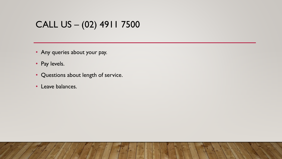# CALL US – (02) 4911 7500

- Any queries about your pay.
- Pay levels.
- Questions about length of service.
- Leave balances.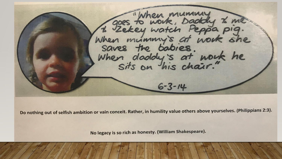To then mummung the  $6 - 3 - 14$ 

Do nothing out of selfish ambition or vain conceit. Rather, in humility value others above yourselves. (Philippians 2:3).

No legacy is so rich as honesty. (William Shakespeare).